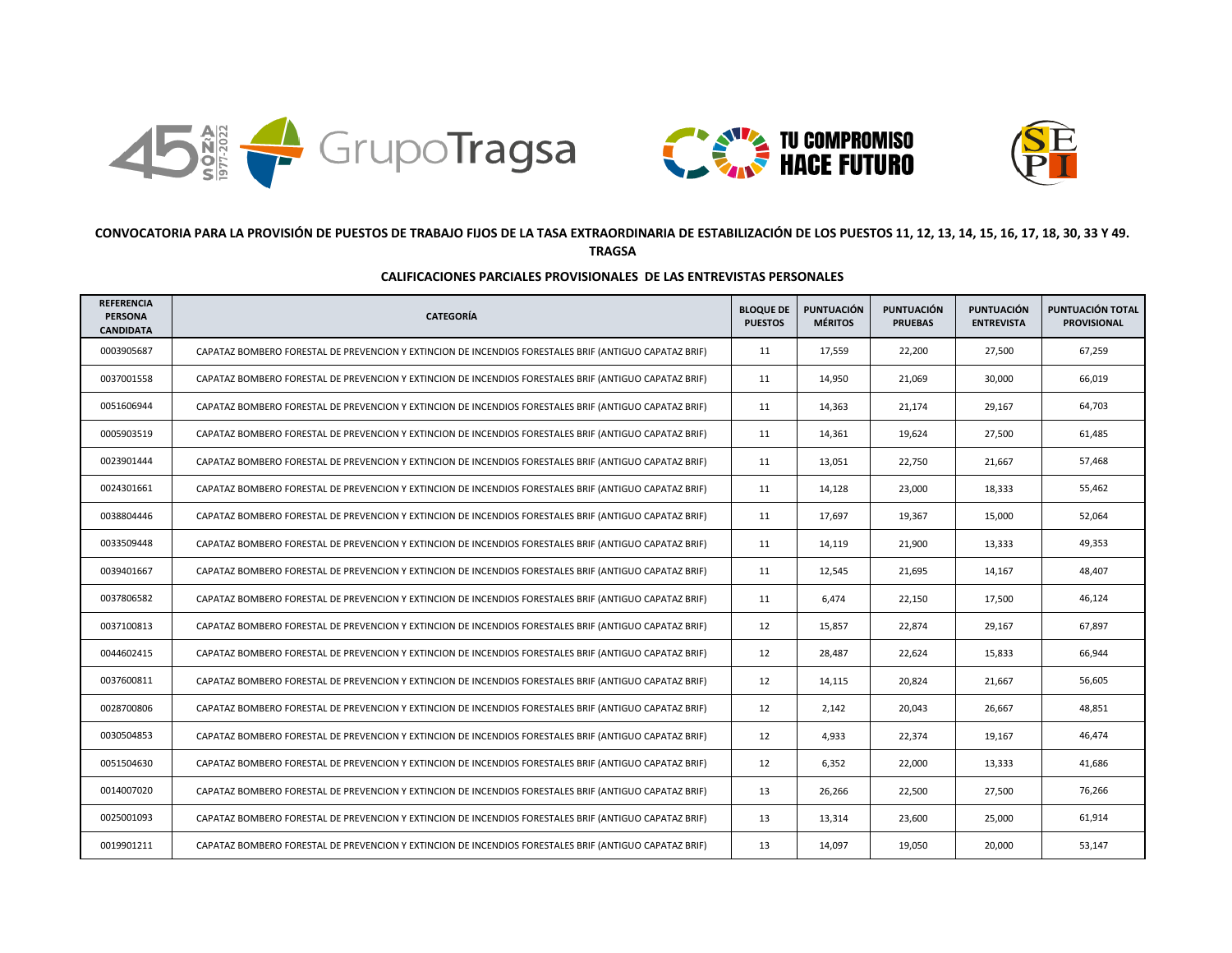





## **CONVOCATORIA PARA LA PROVISIÓN DE PUESTOS DE TRABAJO FIJOS DE LA TASA EXTRAORDINARIA DE ESTABILIZACIÓN DE LOS PUESTOS 11, 12, 13, 14, 15, 16, 17, 18, 30, 33 Y 49. TRAGSA**

## **CALIFICACIONES PARCIALES PROVISIONALES DE LAS ENTREVISTAS PERSONALES**

| <b>REFERENCIA</b><br><b>PERSONA</b><br><b>CANDIDATA</b> | <b>CATEGORÍA</b>                                                                                       | <b>BLOQUE DE</b><br><b>PUESTOS</b> | <b>PUNTUACIÓN</b><br><b>MÉRITOS</b> | <b>PUNTUACIÓN</b><br><b>PRUEBAS</b> | <b>PUNTUACIÓN</b><br><b>ENTREVISTA</b> | PUNTUACIÓN TOTAL<br><b>PROVISIONAL</b> |
|---------------------------------------------------------|--------------------------------------------------------------------------------------------------------|------------------------------------|-------------------------------------|-------------------------------------|----------------------------------------|----------------------------------------|
| 0003905687                                              | CAPATAZ BOMBERO FORESTAL DE PREVENCION Y EXTINCION DE INCENDIOS FORESTALES BRIF (ANTIGUO CAPATAZ BRIF) | 11                                 | 17,559                              | 22,200                              | 27,500                                 | 67,259                                 |
| 0037001558                                              | CAPATAZ BOMBERO FORESTAL DE PREVENCION Y EXTINCION DE INCENDIOS FORESTALES BRIF (ANTIGUO CAPATAZ BRIF) | 11                                 | 14.950                              | 21,069                              | 30,000                                 | 66,019                                 |
| 0051606944                                              | CAPATAZ BOMBERO FORESTAL DE PREVENCION Y EXTINCION DE INCENDIOS FORESTALES BRIF (ANTIGUO CAPATAZ BRIF) | 11                                 | 14,363                              | 21,174                              | 29,167                                 | 64,703                                 |
| 0005903519                                              | CAPATAZ BOMBERO FORESTAL DE PREVENCION Y EXTINCION DE INCENDIOS FORESTALES BRIF (ANTIGUO CAPATAZ BRIF) | 11                                 | 14,361                              | 19,624                              | 27,500                                 | 61.485                                 |
| 0023901444                                              | CAPATAZ BOMBERO FORESTAL DE PREVENCION Y EXTINCION DE INCENDIOS FORESTALES BRIF (ANTIGUO CAPATAZ BRIF) | 11                                 | 13,051                              | 22,750                              | 21,667                                 | 57,468                                 |
| 0024301661                                              | CAPATAZ BOMBERO FORESTAL DE PREVENCION Y EXTINCION DE INCENDIOS FORESTALES BRIF (ANTIGUO CAPATAZ BRIF) | 11                                 | 14,128                              | 23,000                              | 18,333                                 | 55,462                                 |
| 0038804446                                              | CAPATAZ BOMBERO FORESTAL DE PREVENCION Y EXTINCION DE INCENDIOS FORESTALES BRIF (ANTIGUO CAPATAZ BRIF) | 11                                 | 17,697                              | 19,367                              | 15,000                                 | 52,064                                 |
| 0033509448                                              | CAPATAZ BOMBERO FORESTAL DE PREVENCION Y EXTINCION DE INCENDIOS FORESTALES BRIF (ANTIGUO CAPATAZ BRIF) | 11                                 | 14,119                              | 21,900                              | 13,333                                 | 49,353                                 |
| 0039401667                                              | CAPATAZ BOMBERO FORESTAL DE PREVENCION Y EXTINCION DE INCENDIOS FORESTALES BRIF (ANTIGUO CAPATAZ BRIF) | 11                                 | 12,545                              | 21,695                              | 14,167                                 | 48,407                                 |
| 0037806582                                              | CAPATAZ BOMBERO FORESTAL DE PREVENCION Y EXTINCION DE INCENDIOS FORESTALES BRIF (ANTIGUO CAPATAZ BRIF) | 11                                 | 6,474                               | 22,150                              | 17,500                                 | 46,124                                 |
| 0037100813                                              | CAPATAZ BOMBERO FORESTAL DE PREVENCION Y EXTINCION DE INCENDIOS FORESTALES BRIF (ANTIGUO CAPATAZ BRIF) | 12                                 | 15,857                              | 22,874                              | 29,167                                 | 67,897                                 |
| 0044602415                                              | CAPATAZ BOMBERO FORESTAL DE PREVENCION Y EXTINCION DE INCENDIOS FORESTALES BRIF (ANTIGUO CAPATAZ BRIF) | 12                                 | 28,487                              | 22,624                              | 15,833                                 | 66,944                                 |
| 0037600811                                              | CAPATAZ BOMBERO FORESTAL DE PREVENCION Y EXTINCION DE INCENDIOS FORESTALES BRIF (ANTIGUO CAPATAZ BRIF) | 12                                 | 14,115                              | 20,824                              | 21,667                                 | 56,605                                 |
| 0028700806                                              | CAPATAZ BOMBERO FORESTAL DE PREVENCION Y EXTINCION DE INCENDIOS FORESTALES BRIF (ANTIGUO CAPATAZ BRIF) | 12                                 | 2,142                               | 20,043                              | 26,667                                 | 48,851                                 |
| 0030504853                                              | CAPATAZ BOMBERO FORESTAL DE PREVENCION Y EXTINCION DE INCENDIOS FORESTALES BRIF (ANTIGUO CAPATAZ BRIF) | 12                                 | 4,933                               | 22,374                              | 19,167                                 | 46,474                                 |
| 0051504630                                              | CAPATAZ BOMBERO FORESTAL DE PREVENCION Y EXTINCION DE INCENDIOS FORESTALES BRIF (ANTIGUO CAPATAZ BRIF) | 12                                 | 6,352                               | 22,000                              | 13,333                                 | 41,686                                 |
| 0014007020                                              | CAPATAZ BOMBERO FORESTAL DE PREVENCION Y EXTINCION DE INCENDIOS FORESTALES BRIF (ANTIGUO CAPATAZ BRIF) | 13                                 | 26,266                              | 22,500                              | 27,500                                 | 76,266                                 |
| 0025001093                                              | CAPATAZ BOMBERO FORESTAL DE PREVENCION Y EXTINCION DE INCENDIOS FORESTALES BRIF (ANTIGUO CAPATAZ BRIF) | 13                                 | 13,314                              | 23,600                              | 25,000                                 | 61,914                                 |
| 0019901211                                              | CAPATAZ BOMBERO FORESTAL DE PREVENCION Y EXTINCION DE INCENDIOS FORESTALES BRIF (ANTIGUO CAPATAZ BRIF) | 13                                 | 14,097                              | 19,050                              | 20,000                                 | 53,147                                 |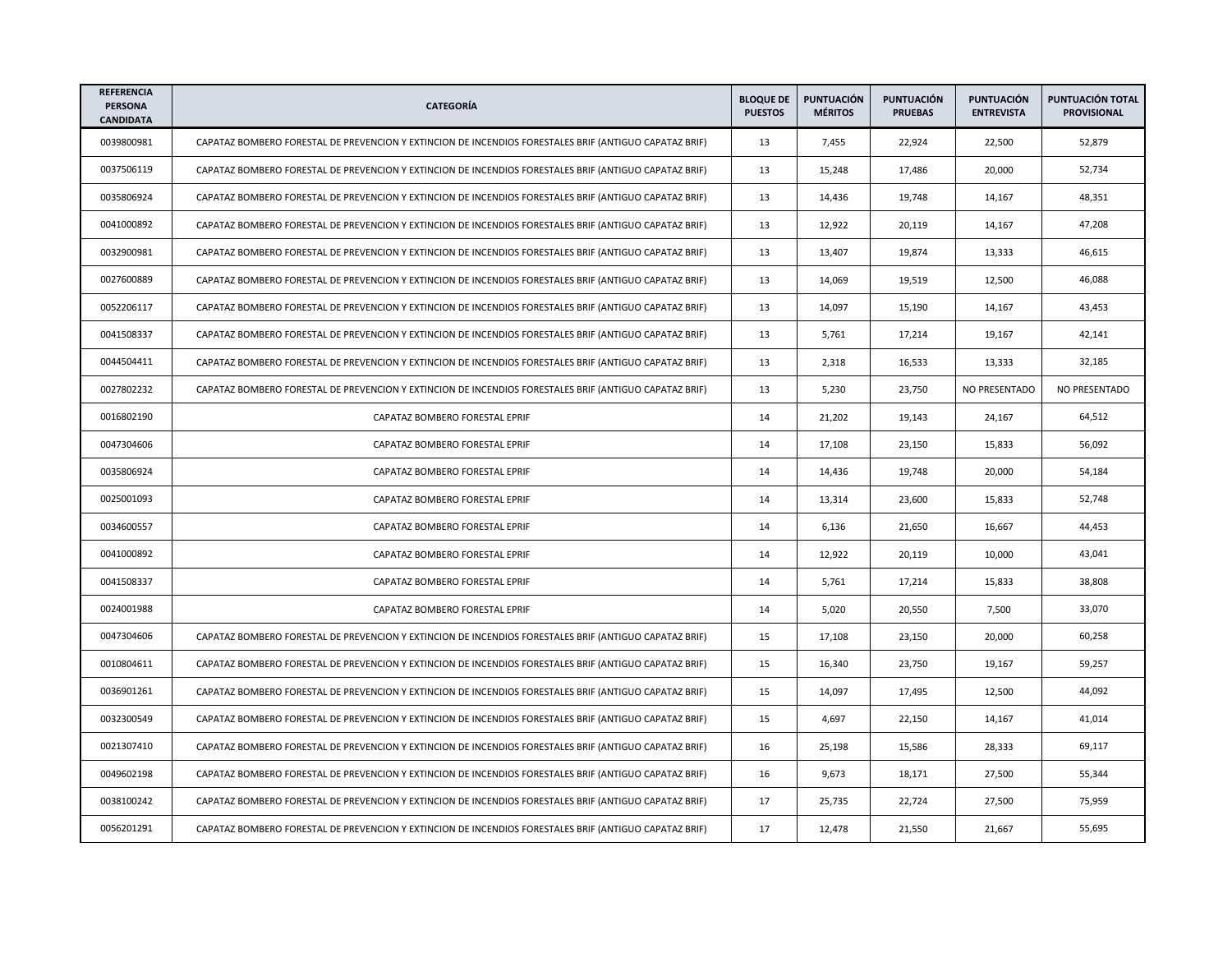| <b>REFERENCIA</b><br><b>PERSONA</b><br><b>CANDIDATA</b> | <b>CATEGORÍA</b>                                                                                       | <b>BLOQUE DE</b><br><b>PUESTOS</b> | <b>PUNTUACIÓN</b><br><b>MÉRITOS</b> | <b>PUNTUACIÓN</b><br><b>PRUEBAS</b> | <b>PUNTUACIÓN</b><br><b>ENTREVISTA</b> | PUNTUACIÓN TOTAL<br><b>PROVISIONAL</b> |
|---------------------------------------------------------|--------------------------------------------------------------------------------------------------------|------------------------------------|-------------------------------------|-------------------------------------|----------------------------------------|----------------------------------------|
| 0039800981                                              | CAPATAZ BOMBERO FORESTAL DE PREVENCION Y EXTINCION DE INCENDIOS FORESTALES BRIF (ANTIGUO CAPATAZ BRIF) | 13                                 | 7.455                               | 22,924                              | 22,500                                 | 52,879                                 |
| 0037506119                                              | CAPATAZ BOMBERO FORESTAL DE PREVENCION Y EXTINCION DE INCENDIOS FORESTALES BRIF (ANTIGUO CAPATAZ BRIF) | 13                                 | 15,248                              | 17,486                              | 20,000                                 | 52,734                                 |
| 0035806924                                              | CAPATAZ BOMBERO FORESTAL DE PREVENCION Y EXTINCION DE INCENDIOS FORESTALES BRIF (ANTIGUO CAPATAZ BRIF) | 13                                 | 14,436                              | 19,748                              | 14,167                                 | 48,351                                 |
| 0041000892                                              | CAPATAZ BOMBERO FORESTAL DE PREVENCION Y EXTINCION DE INCENDIOS FORESTALES BRIF (ANTIGUO CAPATAZ BRIF) | 13                                 | 12,922                              | 20,119                              | 14,167                                 | 47,208                                 |
| 0032900981                                              | CAPATAZ BOMBERO FORESTAL DE PREVENCION Y EXTINCION DE INCENDIOS FORESTALES BRIF (ANTIGUO CAPATAZ BRIF) | 13                                 | 13,407                              | 19,874                              | 13,333                                 | 46,615                                 |
| 0027600889                                              | CAPATAZ BOMBERO FORESTAL DE PREVENCION Y EXTINCION DE INCENDIOS FORESTALES BRIF (ANTIGUO CAPATAZ BRIF) | 13                                 | 14,069                              | 19,519                              | 12,500                                 | 46,088                                 |
| 0052206117                                              | CAPATAZ BOMBERO FORESTAL DE PREVENCION Y EXTINCION DE INCENDIOS FORESTALES BRIF (ANTIGUO CAPATAZ BRIF) | 13                                 | 14,097                              | 15,190                              | 14,167                                 | 43,453                                 |
| 0041508337                                              | CAPATAZ BOMBERO FORESTAL DE PREVENCION Y EXTINCION DE INCENDIOS FORESTALES BRIF (ANTIGUO CAPATAZ BRIF) | 13                                 | 5,761                               | 17,214                              | 19,167                                 | 42,141                                 |
| 0044504411                                              | CAPATAZ BOMBERO FORESTAL DE PREVENCION Y EXTINCION DE INCENDIOS FORESTALES BRIF (ANTIGUO CAPATAZ BRIF) | 13                                 | 2,318                               | 16,533                              | 13,333                                 | 32,185                                 |
| 0027802232                                              | CAPATAZ BOMBERO FORESTAL DE PREVENCION Y EXTINCION DE INCENDIOS FORESTALES BRIF (ANTIGUO CAPATAZ BRIF) | 13                                 | 5,230                               | 23,750                              | NO PRESENTADO                          | NO PRESENTADO                          |
| 0016802190                                              | CAPATAZ BOMBERO FORESTAL EPRIF                                                                         | 14                                 | 21,202                              | 19,143                              | 24,167                                 | 64,512                                 |
| 0047304606                                              | CAPATAZ BOMBERO FORESTAL EPRIF                                                                         | 14                                 | 17,108                              | 23,150                              | 15,833                                 | 56,092                                 |
| 0035806924                                              | CAPATAZ BOMBERO FORESTAL EPRIF                                                                         | 14                                 | 14,436                              | 19,748                              | 20,000                                 | 54,184                                 |
| 0025001093                                              | CAPATAZ BOMBERO FORESTAL EPRIF                                                                         | 14                                 | 13,314                              | 23,600                              | 15,833                                 | 52,748                                 |
| 0034600557                                              | CAPATAZ BOMBERO FORESTAL EPRIF                                                                         | 14                                 | 6,136                               | 21,650                              | 16,667                                 | 44,453                                 |
| 0041000892                                              | CAPATAZ BOMBERO FORESTAL EPRIF                                                                         | 14                                 | 12,922                              | 20,119                              | 10,000                                 | 43,041                                 |
| 0041508337                                              | CAPATAZ BOMBERO FORESTAL EPRIF                                                                         | 14                                 | 5,761                               | 17,214                              | 15,833                                 | 38,808                                 |
| 0024001988                                              | CAPATAZ BOMBERO FORESTAL EPRIF                                                                         | 14                                 | 5,020                               | 20,550                              | 7,500                                  | 33,070                                 |
| 0047304606                                              | CAPATAZ BOMBERO FORESTAL DE PREVENCION Y EXTINCION DE INCENDIOS FORESTALES BRIF (ANTIGUO CAPATAZ BRIF) | 15                                 | 17,108                              | 23,150                              | 20,000                                 | 60,258                                 |
| 0010804611                                              | CAPATAZ BOMBERO FORESTAL DE PREVENCION Y EXTINCION DE INCENDIOS FORESTALES BRIF (ANTIGUO CAPATAZ BRIF) | 15                                 | 16,340                              | 23,750                              | 19,167                                 | 59,257                                 |
| 0036901261                                              | CAPATAZ BOMBERO FORESTAL DE PREVENCION Y EXTINCION DE INCENDIOS FORESTALES BRIF (ANTIGUO CAPATAZ BRIF) | 15                                 | 14,097                              | 17,495                              | 12,500                                 | 44,092                                 |
| 0032300549                                              | CAPATAZ BOMBERO FORESTAL DE PREVENCION Y EXTINCION DE INCENDIOS FORESTALES BRIF (ANTIGUO CAPATAZ BRIF) | 15                                 | 4,697                               | 22,150                              | 14,167                                 | 41,014                                 |
| 0021307410                                              | CAPATAZ BOMBERO FORESTAL DE PREVENCION Y EXTINCION DE INCENDIOS FORESTALES BRIF (ANTIGUO CAPATAZ BRIF) | 16                                 | 25,198                              | 15,586                              | 28,333                                 | 69,117                                 |
| 0049602198                                              | CAPATAZ BOMBERO FORESTAL DE PREVENCION Y EXTINCION DE INCENDIOS FORESTALES BRIF (ANTIGUO CAPATAZ BRIF) | 16                                 | 9,673                               | 18,171                              | 27,500                                 | 55,344                                 |
| 0038100242                                              | CAPATAZ BOMBERO FORESTAL DE PREVENCION Y EXTINCION DE INCENDIOS FORESTALES BRIF (ANTIGUO CAPATAZ BRIF) | 17                                 | 25,735                              | 22,724                              | 27,500                                 | 75,959                                 |
| 0056201291                                              | CAPATAZ BOMBERO FORESTAL DE PREVENCION Y EXTINCION DE INCENDIOS FORESTALES BRIF (ANTIGUO CAPATAZ BRIF) | 17                                 | 12,478                              | 21,550                              | 21,667                                 | 55,695                                 |